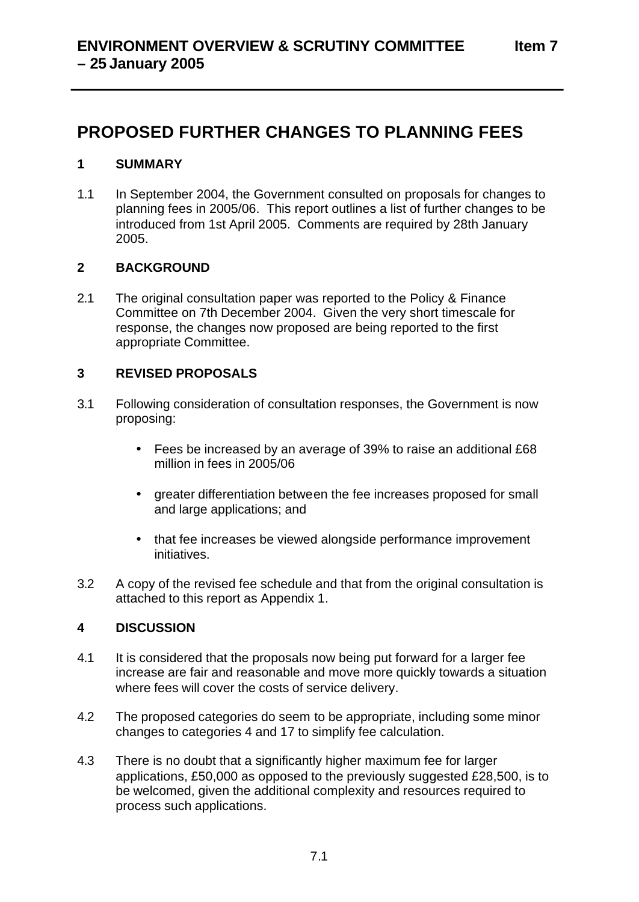# **PROPOSED FURTHER CHANGES TO PLANNING FEES**

## **1 SUMMARY**

1.1 In September 2004, the Government consulted on proposals for changes to planning fees in 2005/06. This report outlines a list of further changes to be introduced from 1st April 2005. Comments are required by 28th January 2005.

#### **2 BACKGROUND**

2.1 The original consultation paper was reported to the Policy & Finance Committee on 7th December 2004. Given the very short timescale for response, the changes now proposed are being reported to the first appropriate Committee.

#### **3 REVISED PROPOSALS**

- 3.1 Following consideration of consultation responses, the Government is now proposing:
	- Fees be increased by an average of 39% to raise an additional £68 million in fees in 2005/06
	- greater differentiation between the fee increases proposed for small and large applications; and
	- that fee increases be viewed alongside performance improvement initiatives.
- 3.2 A copy of the revised fee schedule and that from the original consultation is attached to this report as Appendix 1.

## **4 DISCUSSION**

- 4.1 It is considered that the proposals now being put forward for a larger fee increase are fair and reasonable and move more quickly towards a situation where fees will cover the costs of service delivery.
- 4.2 The proposed categories do seem to be appropriate, including some minor changes to categories 4 and 17 to simplify fee calculation.
- 4.3 There is no doubt that a significantly higher maximum fee for larger applications, £50,000 as opposed to the previously suggested £28,500, is to be welcomed, given the additional complexity and resources required to process such applications.